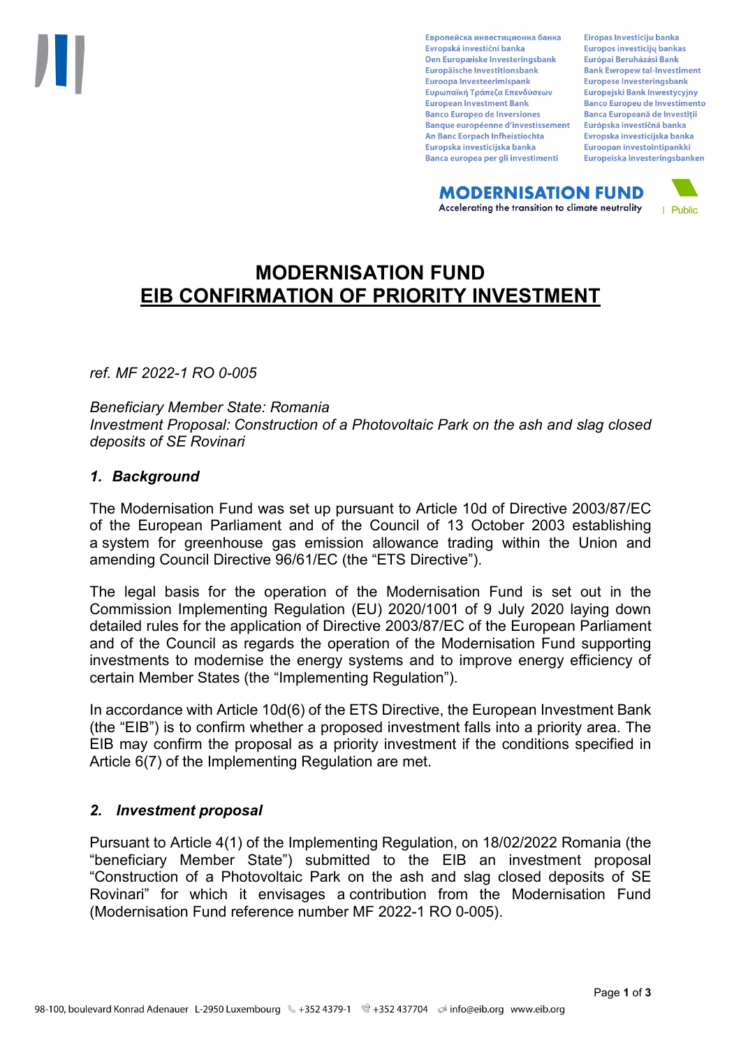Европейска инвестиционна банка Evropská investiční banka Den Europæiske Investeringsbank Europäische Investitionsbank Euroopa Investeerimispank Ευρωπαϊκή Τράπεζα Επενδύσεων **European Investment Bank Banco Europeo de Inversiones Banque européenne d'investissement** An Banc Eorpach Infheistíochta Europska investicijska banka Banca europea per gli investimenti

Eiropas Investīciju banka Europos investicijų bankas Európai Beruházási Bank **Bank Ewropew tal-Investiment** Europese Investeringsbank **Europeiski Bank Inwestycviny Banco Europeu de Investimento Banca Europeană de Investiții** Európska investičná banka Evropska investicijska banka Euroopan investointipankki Europeiska investeringsbanken

**MODERNISATION FUND** Accelerating the transition to climate neutrality



# **MODERNISATION FUND EIB CONFIRMATION OF PRIORITY INVESTMENT**

*ref. MF 2022-1 RO 0-005*

*Beneficiary Member State: Romania Investment Proposal: Construction of a Photovoltaic Park on the ash and slag closed deposits of SE Rovinari*

### *1. Background*

The Modernisation Fund was set up pursuant to Article 10d of Directive 2003/87/EC of the European Parliament and of the Council of 13 October 2003 establishing a system for greenhouse gas emission allowance trading within the Union and amending Council Directive 96/61/EC (the "ETS Directive").

The legal basis for the operation of the Modernisation Fund is set out in the Commission Implementing Regulation (EU) 2020/1001 of 9 July 2020 laying down detailed rules for the application of Directive 2003/87/EC of the European Parliament and of the Council as regards the operation of the Modernisation Fund supporting investments to modernise the energy systems and to improve energy efficiency of certain Member States (the "Implementing Regulation").

In accordance with Article 10d(6) of the ETS Directive, the European Investment Bank (the "EIB") is to confirm whether a proposed investment falls into a priority area. The EIB may confirm the proposal as a priority investment if the conditions specified in Article 6(7) of the Implementing Regulation are met.

### *2. Investment proposal*

Pursuant to Article 4(1) of the Implementing Regulation, on 18/02/2022 Romania (the "beneficiary Member State") submitted to the EIB an investment proposal "Construction of a Photovoltaic Park on the ash and slag closed deposits of SE Rovinari" for which it envisages a contribution from the Modernisation Fund (Modernisation Fund reference number MF 2022-1 RO 0-005).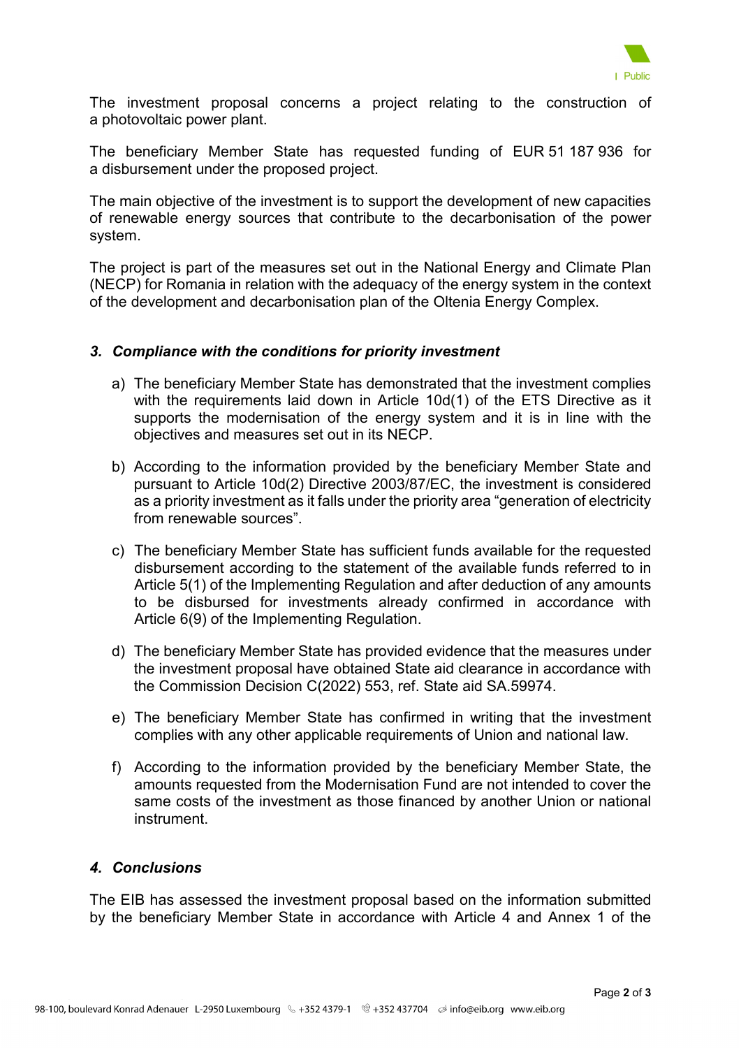

The investment proposal concerns a project relating to the construction of a photovoltaic power plant.

The beneficiary Member State has requested funding of EUR 51 187 936 for a disbursement under the proposed project.

The main objective of the investment is to support the development of new capacities of renewable energy sources that contribute to the decarbonisation of the power system.

The project is part of the measures set out in the National Energy and Climate Plan (NECP) for Romania in relation with the adequacy of the energy system in the context of the development and decarbonisation plan of the Oltenia Energy Complex.

### *3. Compliance with the conditions for priority investment*

- a) The beneficiary Member State has demonstrated that the investment complies with the requirements laid down in Article 10d(1) of the ETS Directive as it supports the modernisation of the energy system and it is in line with the objectives and measures set out in its NECP.
- b) According to the information provided by the beneficiary Member State and pursuant to Article 10d(2) Directive 2003/87/EC, the investment is considered as a priority investment as it falls under the priority area "generation of electricity from renewable sources".
- c) The beneficiary Member State has sufficient funds available for the requested disbursement according to the statement of the available funds referred to in Article 5(1) of the Implementing Regulation and after deduction of any amounts to be disbursed for investments already confirmed in accordance with Article 6(9) of the Implementing Regulation.
- d) The beneficiary Member State has provided evidence that the measures under the investment proposal have obtained State aid clearance in accordance with the Commission Decision C(2022) 553, ref. State aid SA.59974.
- e) The beneficiary Member State has confirmed in writing that the investment complies with any other applicable requirements of Union and national law.
- f) According to the information provided by the beneficiary Member State, the amounts requested from the Modernisation Fund are not intended to cover the same costs of the investment as those financed by another Union or national instrument.

## *4. Conclusions*

The EIB has assessed the investment proposal based on the information submitted by the beneficiary Member State in accordance with Article 4 and Annex 1 of the